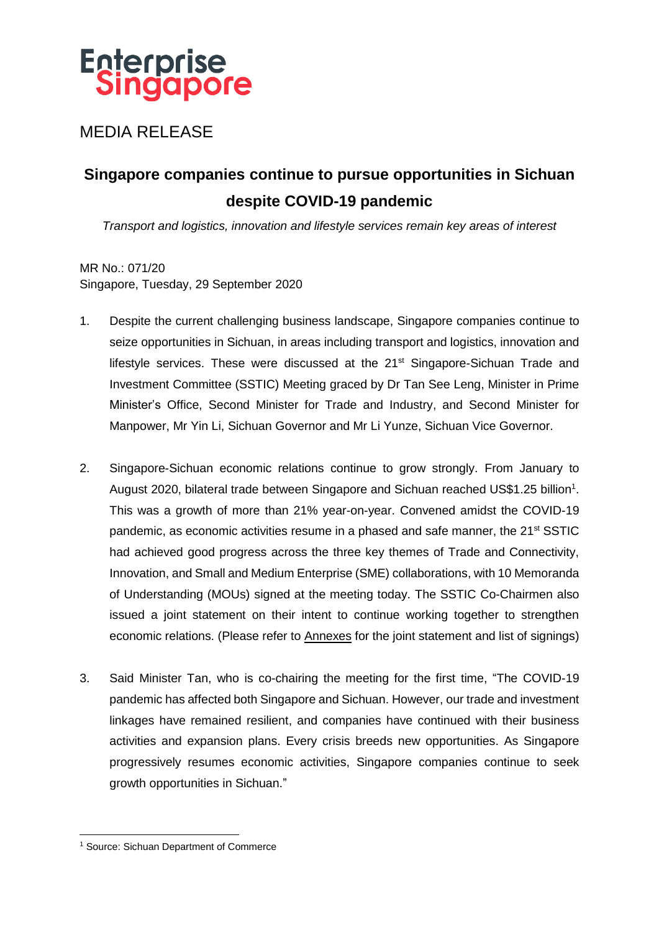# **Enterprise**<br>Singapore

MEDIA RELEASE

# **Singapore companies continue to pursue opportunities in Sichuan despite COVID-19 pandemic**

*Transport and logistics, innovation and lifestyle services remain key areas of interest*

MR No.: 071/20 Singapore, Tuesday, 29 September 2020

- 1. Despite the current challenging business landscape, Singapore companies continue to seize opportunities in Sichuan, in areas including transport and logistics, innovation and lifestyle services. These were discussed at the 21<sup>st</sup> Singapore-Sichuan Trade and Investment Committee (SSTIC) Meeting graced by Dr Tan See Leng, Minister in Prime Minister's Office, Second Minister for Trade and Industry, and Second Minister for Manpower, Mr Yin Li, Sichuan Governor and Mr Li Yunze, Sichuan Vice Governor.
- 2. Singapore-Sichuan economic relations continue to grow strongly. From January to August 2020, bilateral trade between Singapore and Sichuan reached US\$1.25 billion<sup>1</sup>. This was a growth of more than 21% year-on-year. Convened amidst the COVID-19 pandemic, as economic activities resume in a phased and safe manner, the 21<sup>st</sup> SSTIC had achieved good progress across the three key themes of Trade and Connectivity, Innovation, and Small and Medium Enterprise (SME) collaborations, with 10 Memoranda of Understanding (MOUs) signed at the meeting today. The SSTIC Co-Chairmen also issued a joint statement on their intent to continue working together to strengthen economic relations. (Please refer to Annexes for the joint statement and list of signings)
- 3. Said Minister Tan, who is co-chairing the meeting for the first time, "The COVID-19 pandemic has affected both Singapore and Sichuan. However, our trade and investment linkages have remained resilient, and companies have continued with their business activities and expansion plans. Every crisis breeds new opportunities. As Singapore progressively resumes economic activities, Singapore companies continue to seek growth opportunities in Sichuan."

<sup>1</sup> <sup>1</sup> Source: Sichuan Department of Commerce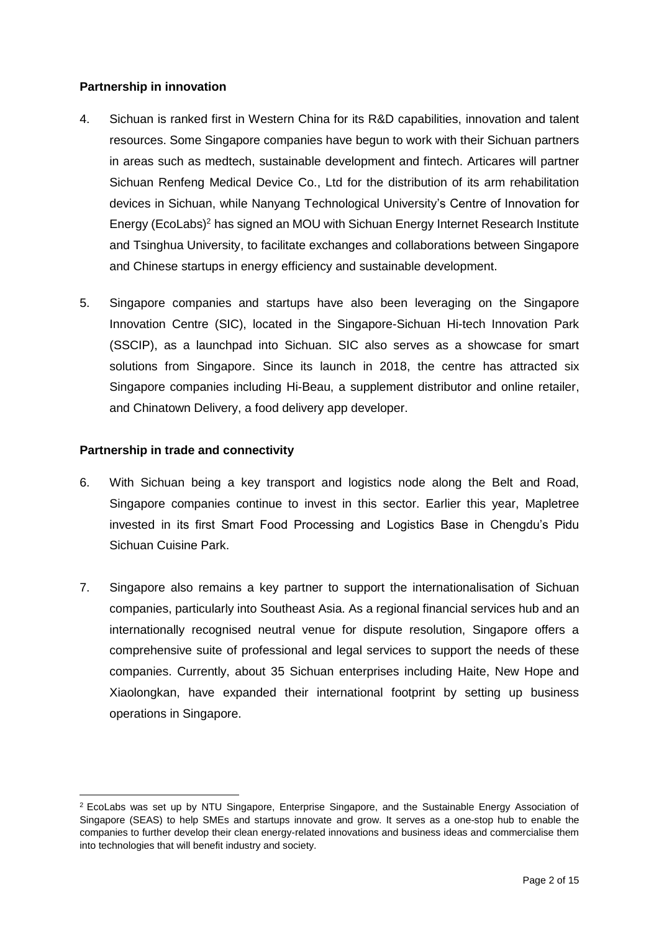### **Partnership in innovation**

- 4. Sichuan is ranked first in Western China for its R&D capabilities, innovation and talent resources. Some Singapore companies have begun to work with their Sichuan partners in areas such as medtech, sustainable development and fintech. Articares will partner Sichuan Renfeng Medical Device Co., Ltd for the distribution of its arm rehabilitation devices in Sichuan, while Nanyang Technological University's Centre of Innovation for Energy (EcoLabs)<sup>2</sup> has signed an MOU with Sichuan Energy Internet Research Institute and Tsinghua University, to facilitate exchanges and collaborations between Singapore and Chinese startups in energy efficiency and sustainable development.
- 5. Singapore companies and startups have also been leveraging on the Singapore Innovation Centre (SIC), located in the Singapore-Sichuan Hi-tech Innovation Park (SSCIP), as a launchpad into Sichuan. SIC also serves as a showcase for smart solutions from Singapore. Since its launch in 2018, the centre has attracted six Singapore companies including Hi-Beau, a supplement distributor and online retailer, and Chinatown Delivery, a food delivery app developer.

# **Partnership in trade and connectivity**

1

- 6. With Sichuan being a key transport and logistics node along the Belt and Road, Singapore companies continue to invest in this sector. Earlier this year, Mapletree invested in its first Smart Food Processing and Logistics Base in Chengdu's Pidu Sichuan Cuisine Park.
- 7. Singapore also remains a key partner to support the internationalisation of Sichuan companies, particularly into Southeast Asia. As a regional financial services hub and an internationally recognised neutral venue for dispute resolution, Singapore offers a comprehensive suite of professional and legal services to support the needs of these companies. Currently, about 35 Sichuan enterprises including Haite, New Hope and Xiaolongkan, have expanded their international footprint by setting up business operations in Singapore.

<sup>2</sup> EcoLabs was set up by NTU Singapore, Enterprise Singapore, and the Sustainable Energy Association of Singapore (SEAS) to help SMEs and startups innovate and grow. It serves as a one-stop hub to enable the companies to further develop their clean energy-related innovations and business ideas and commercialise them into technologies that will benefit industry and society.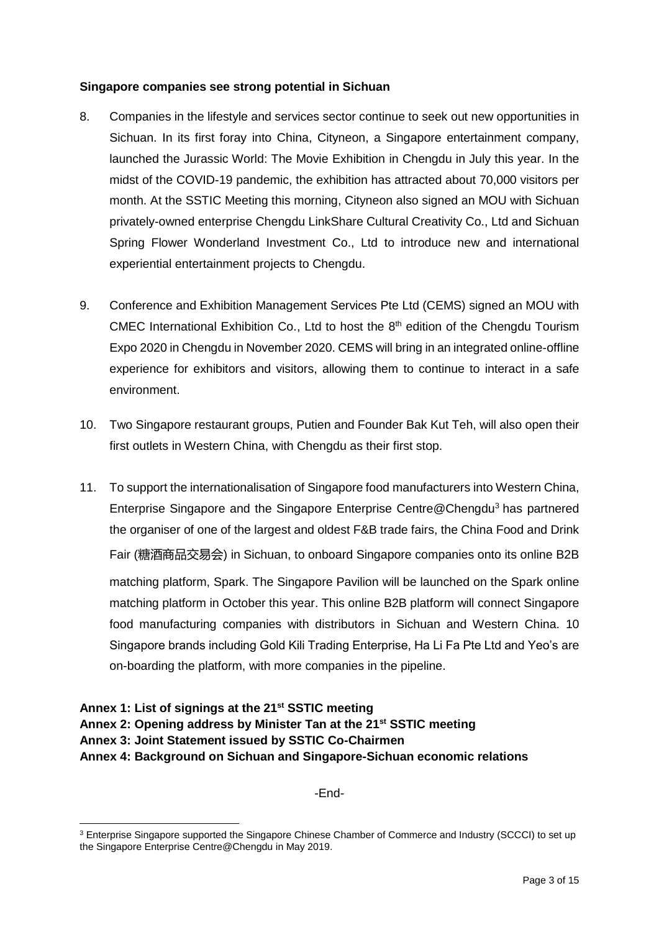### **Singapore companies see strong potential in Sichuan**

- 8. Companies in the lifestyle and services sector continue to seek out new opportunities in Sichuan. In its first foray into China, Cityneon, a Singapore entertainment company, launched the Jurassic World: The Movie Exhibition in Chengdu in July this year. In the midst of the COVID-19 pandemic, the exhibition has attracted about 70,000 visitors per month. At the SSTIC Meeting this morning, Cityneon also signed an MOU with Sichuan privately-owned enterprise Chengdu LinkShare Cultural Creativity Co., Ltd and Sichuan Spring Flower Wonderland Investment Co., Ltd to introduce new and international experiential entertainment projects to Chengdu.
- 9. Conference and Exhibition Management Services Pte Ltd (CEMS) signed an MOU with CMEC International Exhibition Co., Ltd to host the 8<sup>th</sup> edition of the Chengdu Tourism Expo 2020 in Chengdu in November 2020. CEMS will bring in an integrated online-offline experience for exhibitors and visitors, allowing them to continue to interact in a safe environment.
- 10. Two Singapore restaurant groups, Putien and Founder Bak Kut Teh, will also open their first outlets in Western China, with Chengdu as their first stop.
- 11. To support the internationalisation of Singapore food manufacturers into Western China, Enterprise Singapore and the Singapore Enterprise Centre@Chengdu<sup>3</sup> has partnered the organiser of one of the largest and oldest F&B trade fairs, the China Food and Drink Fair (糖酒商品交易会) in Sichuan, to onboard Singapore companies onto its online B2B matching platform, Spark. The Singapore Pavilion will be launched on the Spark online matching platform in October this year. This online B2B platform will connect Singapore food manufacturing companies with distributors in Sichuan and Western China. 10 Singapore brands including Gold Kili Trading Enterprise, Ha Li Fa Pte Ltd and Yeo's are on-boarding the platform, with more companies in the pipeline.

# **Annex 1: List of signings at the 21st SSTIC meeting Annex 2: Opening address by Minister Tan at the 21st SSTIC meeting Annex 3: Joint Statement issued by SSTIC Co-Chairmen Annex 4: Background on Sichuan and Singapore-Sichuan economic relations**

-End-

<sup>&</sup>lt;u>.</u> <sup>3</sup> Enterprise Singapore supported the Singapore Chinese Chamber of Commerce and Industry (SCCCI) to set up the Singapore Enterprise Centre@Chengdu in May 2019.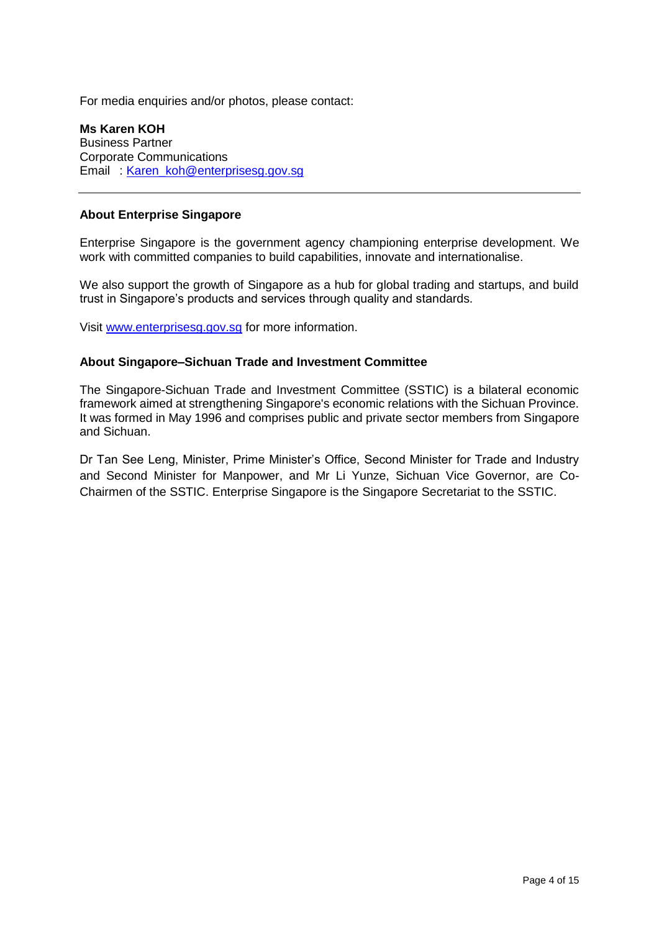For media enquiries and/or photos, please contact:

**Ms Karen KOH** Business Partner Corporate Communications Email : [Karen\\_koh@enterprisesg.gov.sg](mailto:Karen_koh@enterprisesg.gov.sg)

#### **About Enterprise Singapore**

Enterprise Singapore is the government agency championing enterprise development. We work with committed companies to build capabilities, innovate and internationalise.

We also support the growth of Singapore as a hub for global trading and startups, and build trust in Singapore's products and services through quality and standards.

Visit [www.enterprisesg.gov.sg](http://www.enterprisesg.gov.sg/) for more information.

#### **About Singapore–Sichuan Trade and Investment Committee**

The Singapore-Sichuan Trade and Investment Committee (SSTIC) is a bilateral economic framework aimed at strengthening Singapore's economic relations with the Sichuan Province. It was formed in May 1996 and comprises public and private sector members from Singapore and Sichuan.

Dr Tan See Leng, Minister, Prime Minister's Office, Second Minister for Trade and Industry and Second Minister for Manpower, and Mr Li Yunze, Sichuan Vice Governor, are Co-Chairmen of the SSTIC. Enterprise Singapore is the Singapore Secretariat to the SSTIC.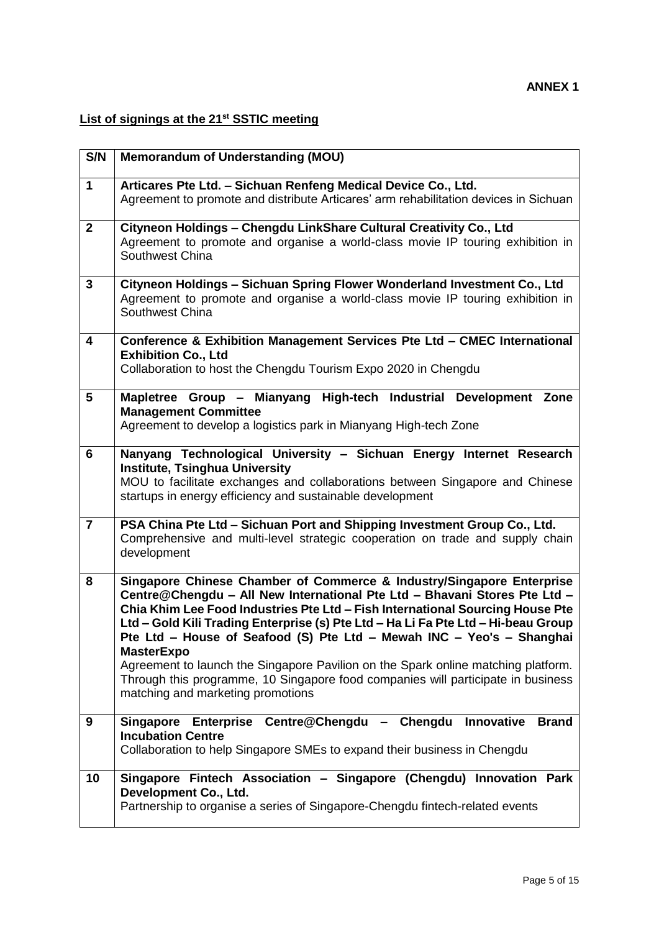# **List of signings at the 21st SSTIC meeting**

| S/N             | <b>Memorandum of Understanding (MOU)</b>                                                                                                                                                                                                                                                                                                                                                                                                                                                                                                                                                                                             |
|-----------------|--------------------------------------------------------------------------------------------------------------------------------------------------------------------------------------------------------------------------------------------------------------------------------------------------------------------------------------------------------------------------------------------------------------------------------------------------------------------------------------------------------------------------------------------------------------------------------------------------------------------------------------|
| $\mathbf 1$     | Articares Pte Ltd. - Sichuan Renfeng Medical Device Co., Ltd.<br>Agreement to promote and distribute Articares' arm rehabilitation devices in Sichuan                                                                                                                                                                                                                                                                                                                                                                                                                                                                                |
| $\mathbf 2$     | Cityneon Holdings - Chengdu LinkShare Cultural Creativity Co., Ltd<br>Agreement to promote and organise a world-class movie IP touring exhibition in<br>Southwest China                                                                                                                                                                                                                                                                                                                                                                                                                                                              |
| 3               | Cityneon Holdings - Sichuan Spring Flower Wonderland Investment Co., Ltd<br>Agreement to promote and organise a world-class movie IP touring exhibition in<br>Southwest China                                                                                                                                                                                                                                                                                                                                                                                                                                                        |
| 4               | Conference & Exhibition Management Services Pte Ltd - CMEC International<br><b>Exhibition Co., Ltd</b><br>Collaboration to host the Chengdu Tourism Expo 2020 in Chengdu                                                                                                                                                                                                                                                                                                                                                                                                                                                             |
| $5\phantom{.0}$ | Mapletree Group - Mianyang High-tech Industrial Development Zone<br><b>Management Committee</b><br>Agreement to develop a logistics park in Mianyang High-tech Zone                                                                                                                                                                                                                                                                                                                                                                                                                                                                  |
| 6               | Nanyang Technological University - Sichuan Energy Internet Research<br><b>Institute, Tsinghua University</b><br>MOU to facilitate exchanges and collaborations between Singapore and Chinese<br>startups in energy efficiency and sustainable development                                                                                                                                                                                                                                                                                                                                                                            |
| $\overline{7}$  | PSA China Pte Ltd - Sichuan Port and Shipping Investment Group Co., Ltd.<br>Comprehensive and multi-level strategic cooperation on trade and supply chain<br>development                                                                                                                                                                                                                                                                                                                                                                                                                                                             |
| 8               | Singapore Chinese Chamber of Commerce & Industry/Singapore Enterprise<br>Centre@Chengdu - All New International Pte Ltd - Bhavani Stores Pte Ltd -<br>Chia Khim Lee Food Industries Pte Ltd - Fish International Sourcing House Pte<br>Ltd - Gold Kili Trading Enterprise (s) Pte Ltd - Ha Li Fa Pte Ltd - Hi-beau Group<br>Pte Ltd - House of Seafood (S) Pte Ltd - Mewah INC - Yeo's - Shanghai<br><b>MasterExpo</b><br>Agreement to launch the Singapore Pavilion on the Spark online matching platform.<br>Through this programme, 10 Singapore food companies will participate in business<br>matching and marketing promotions |
| 9               | Innovative<br>Enterprise Centre@Chengdu<br>- Chengdu<br><b>Brand</b><br>Singapore<br><b>Incubation Centre</b><br>Collaboration to help Singapore SMEs to expand their business in Chengdu                                                                                                                                                                                                                                                                                                                                                                                                                                            |
| 10              | Singapore Fintech Association - Singapore (Chengdu) Innovation Park<br>Development Co., Ltd.<br>Partnership to organise a series of Singapore-Chengdu fintech-related events                                                                                                                                                                                                                                                                                                                                                                                                                                                         |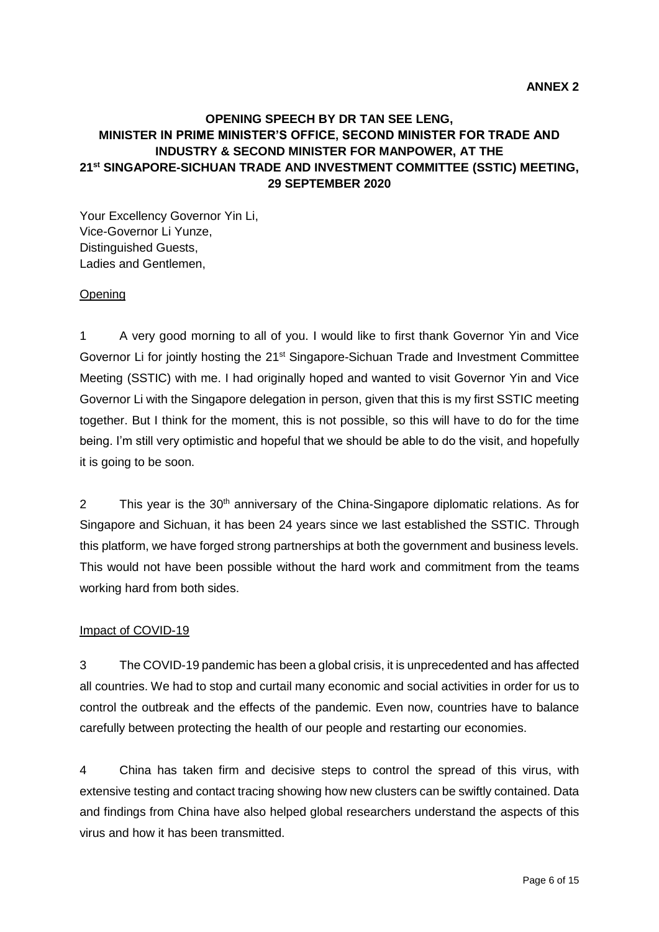# **OPENING SPEECH BY DR TAN SEE LENG, MINISTER IN PRIME MINISTER'S OFFICE, SECOND MINISTER FOR TRADE AND INDUSTRY & SECOND MINISTER FOR MANPOWER, AT THE 21st SINGAPORE-SICHUAN TRADE AND INVESTMENT COMMITTEE (SSTIC) MEETING, 29 SEPTEMBER 2020**

Your Excellency Governor Yin Li, Vice-Governor Li Yunze, Distinguished Guests, Ladies and Gentlemen,

#### Opening

1 A very good morning to all of you. I would like to first thank Governor Yin and Vice Governor Li for jointly hosting the 21<sup>st</sup> Singapore-Sichuan Trade and Investment Committee Meeting (SSTIC) with me. I had originally hoped and wanted to visit Governor Yin and Vice Governor Li with the Singapore delegation in person, given that this is my first SSTIC meeting together. But I think for the moment, this is not possible, so this will have to do for the time being. I'm still very optimistic and hopeful that we should be able to do the visit, and hopefully it is going to be soon.

2 This year is the 30<sup>th</sup> anniversary of the China-Singapore diplomatic relations. As for Singapore and Sichuan, it has been 24 years since we last established the SSTIC. Through this platform, we have forged strong partnerships at both the government and business levels. This would not have been possible without the hard work and commitment from the teams working hard from both sides.

#### Impact of COVID-19

3 The COVID-19 pandemic has been a global crisis, it is unprecedented and has affected all countries. We had to stop and curtail many economic and social activities in order for us to control the outbreak and the effects of the pandemic. Even now, countries have to balance carefully between protecting the health of our people and restarting our economies.

4 China has taken firm and decisive steps to control the spread of this virus, with extensive testing and contact tracing showing how new clusters can be swiftly contained. Data and findings from China have also helped global researchers understand the aspects of this virus and how it has been transmitted.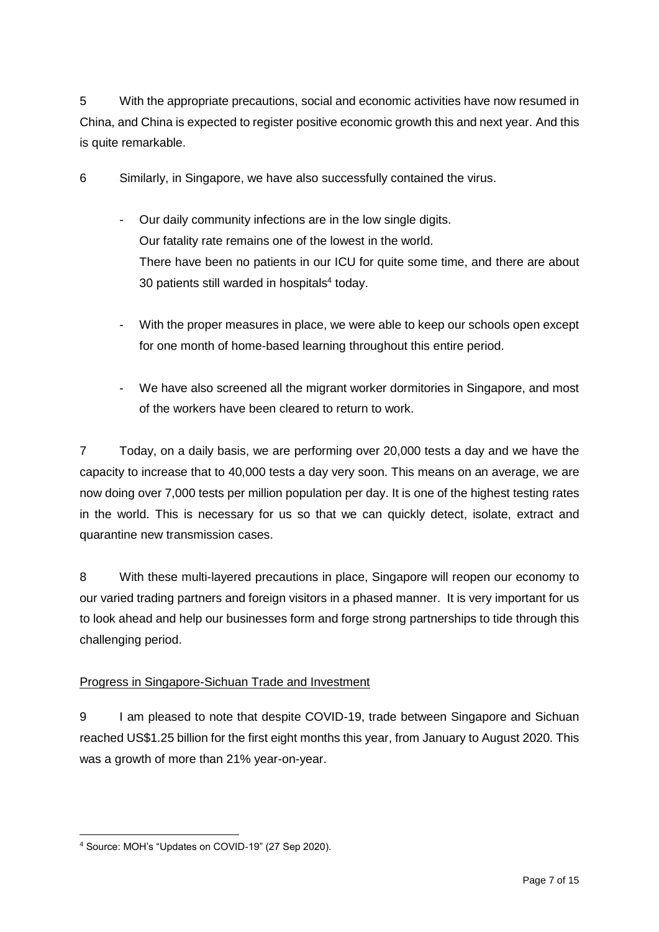5 With the appropriate precautions, social and economic activities have now resumed in China, and China is expected to register positive economic growth this and next year. And this is quite remarkable.

6 Similarly, in Singapore, we have also successfully contained the virus.

- Our daily community infections are in the low single digits. Our fatality rate remains one of the lowest in the world. There have been no patients in our ICU for quite some time, and there are about 30 patients still warded in hospitals<sup>4</sup> today.
- With the proper measures in place, we were able to keep our schools open except for one month of home-based learning throughout this entire period.
- We have also screened all the migrant worker dormitories in Singapore, and most of the workers have been cleared to return to work.

7 Today, on a daily basis, we are performing over 20,000 tests a day and we have the capacity to increase that to 40,000 tests a day very soon. This means on an average, we are now doing over 7,000 tests per million population per day. It is one of the highest testing rates in the world. This is necessary for us so that we can quickly detect, isolate, extract and quarantine new transmission cases.

8 With these multi-layered precautions in place, Singapore will reopen our economy to our varied trading partners and foreign visitors in a phased manner. It is very important for us to look ahead and help our businesses form and forge strong partnerships to tide through this challenging period.

# Progress in Singapore-Sichuan Trade and Investment

9 I am pleased to note that despite COVID-19, trade between Singapore and Sichuan reached US\$1.25 billion for the first eight months this year, from January to August 2020. This was a growth of more than 21% year-on-year.

<sup>1</sup> <sup>4</sup> Source: MOH's "Updates on COVID-19" (27 Sep 2020).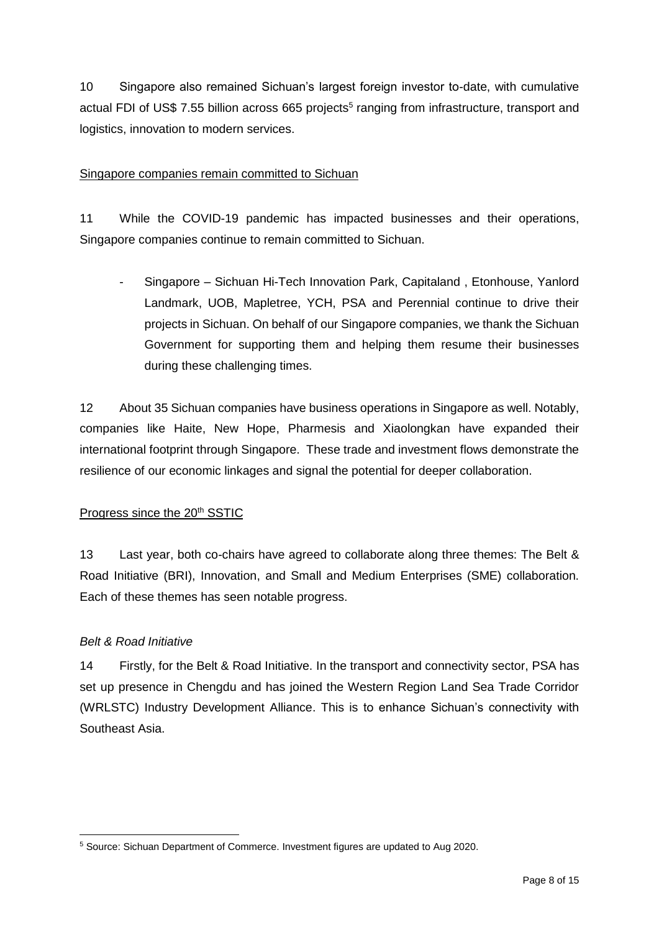10 Singapore also remained Sichuan's largest foreign investor to-date, with cumulative actual FDI of US\$ 7.55 billion across 665 projects<sup>5</sup> ranging from infrastructure, transport and logistics, innovation to modern services.

# Singapore companies remain committed to Sichuan

11 While the COVID-19 pandemic has impacted businesses and their operations, Singapore companies continue to remain committed to Sichuan.

- Singapore – Sichuan Hi-Tech Innovation Park, Capitaland , Etonhouse, Yanlord Landmark, UOB, Mapletree, YCH, PSA and Perennial continue to drive their projects in Sichuan. On behalf of our Singapore companies, we thank the Sichuan Government for supporting them and helping them resume their businesses during these challenging times.

12 About 35 Sichuan companies have business operations in Singapore as well. Notably, companies like Haite, New Hope, Pharmesis and Xiaolongkan have expanded their international footprint through Singapore. These trade and investment flows demonstrate the resilience of our economic linkages and signal the potential for deeper collaboration.

# Progress since the 20<sup>th</sup> SSTIC

13 Last year, both co-chairs have agreed to collaborate along three themes: The Belt & Road Initiative (BRI), Innovation, and Small and Medium Enterprises (SME) collaboration. Each of these themes has seen notable progress.

# *Belt & Road Initiative*

14 Firstly, for the Belt & Road Initiative. In the transport and connectivity sector, PSA has set up presence in Chengdu and has joined the Western Region Land Sea Trade Corridor (WRLSTC) Industry Development Alliance. This is to enhance Sichuan's connectivity with Southeast Asia.

<sup>1</sup> <sup>5</sup> Source: Sichuan Department of Commerce. Investment figures are updated to Aug 2020.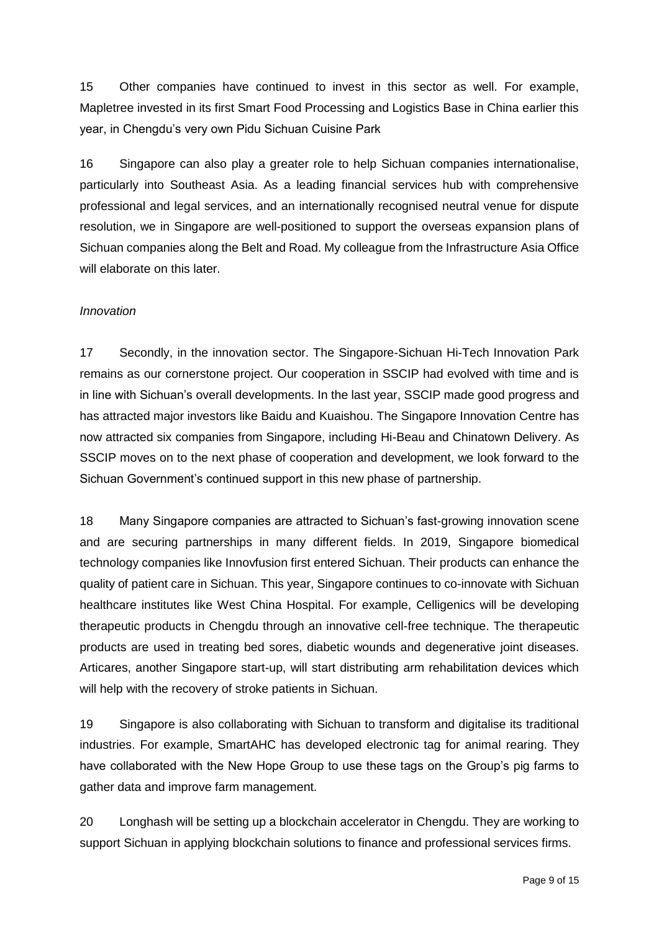15 Other companies have continued to invest in this sector as well. For example, Mapletree invested in its first Smart Food Processing and Logistics Base in China earlier this year, in Chengdu's very own Pidu Sichuan Cuisine Park

16 Singapore can also play a greater role to help Sichuan companies internationalise, particularly into Southeast Asia. As a leading financial services hub with comprehensive professional and legal services, and an internationally recognised neutral venue for dispute resolution, we in Singapore are well-positioned to support the overseas expansion plans of Sichuan companies along the Belt and Road. My colleague from the Infrastructure Asia Office will elaborate on this later.

# *Innovation*

17 Secondly, in the innovation sector. The Singapore-Sichuan Hi-Tech Innovation Park remains as our cornerstone project. Our cooperation in SSCIP had evolved with time and is in line with Sichuan's overall developments. In the last year, SSCIP made good progress and has attracted major investors like Baidu and Kuaishou. The Singapore Innovation Centre has now attracted six companies from Singapore, including Hi-Beau and Chinatown Delivery. As SSCIP moves on to the next phase of cooperation and development, we look forward to the Sichuan Government's continued support in this new phase of partnership.

18 Many Singapore companies are attracted to Sichuan's fast-growing innovation scene and are securing partnerships in many different fields. In 2019, Singapore biomedical technology companies like Innovfusion first entered Sichuan. Their products can enhance the quality of patient care in Sichuan. This year, Singapore continues to co-innovate with Sichuan healthcare institutes like West China Hospital. For example, Celligenics will be developing therapeutic products in Chengdu through an innovative cell-free technique. The therapeutic products are used in treating bed sores, diabetic wounds and degenerative joint diseases. Articares, another Singapore start-up, will start distributing arm rehabilitation devices which will help with the recovery of stroke patients in Sichuan.

19 Singapore is also collaborating with Sichuan to transform and digitalise its traditional industries. For example, SmartAHC has developed electronic tag for animal rearing. They have collaborated with the New Hope Group to use these tags on the Group's pig farms to gather data and improve farm management.

20 Longhash will be setting up a blockchain accelerator in Chengdu. They are working to support Sichuan in applying blockchain solutions to finance and professional services firms.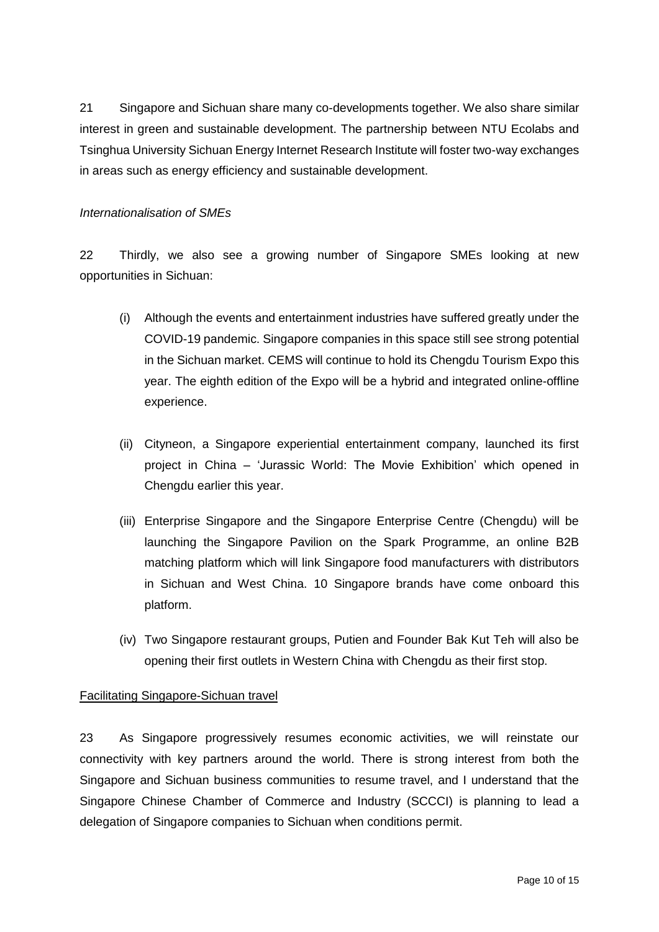21 Singapore and Sichuan share many co-developments together. We also share similar interest in green and sustainable development. The partnership between NTU Ecolabs and Tsinghua University Sichuan Energy Internet Research Institute will foster two-way exchanges in areas such as energy efficiency and sustainable development.

### *Internationalisation of SMEs*

22 Thirdly, we also see a growing number of Singapore SMEs looking at new opportunities in Sichuan:

- (i) Although the events and entertainment industries have suffered greatly under the COVID-19 pandemic. Singapore companies in this space still see strong potential in the Sichuan market. CEMS will continue to hold its Chengdu Tourism Expo this year. The eighth edition of the Expo will be a hybrid and integrated online-offline experience.
- (ii) Cityneon, a Singapore experiential entertainment company, launched its first project in China – 'Jurassic World: The Movie Exhibition' which opened in Chengdu earlier this year.
- (iii) Enterprise Singapore and the Singapore Enterprise Centre (Chengdu) will be launching the Singapore Pavilion on the Spark Programme, an online B2B matching platform which will link Singapore food manufacturers with distributors in Sichuan and West China. 10 Singapore brands have come onboard this platform.
- (iv) Two Singapore restaurant groups, Putien and Founder Bak Kut Teh will also be opening their first outlets in Western China with Chengdu as their first stop.

### Facilitating Singapore-Sichuan travel

23 As Singapore progressively resumes economic activities, we will reinstate our connectivity with key partners around the world. There is strong interest from both the Singapore and Sichuan business communities to resume travel, and I understand that the Singapore Chinese Chamber of Commerce and Industry (SCCCI) is planning to lead a delegation of Singapore companies to Sichuan when conditions permit.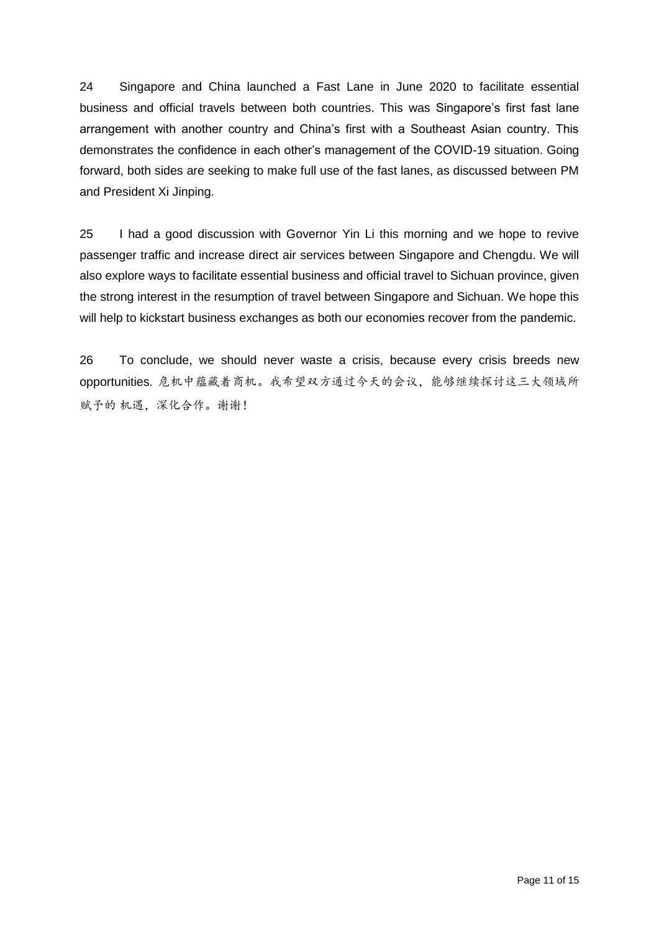24 Singapore and China launched a Fast Lane in June 2020 to facilitate essential business and official travels between both countries. This was Singapore's first fast lane arrangement with another country and China's first with a Southeast Asian country. This demonstrates the confidence in each other's management of the COVID-19 situation. Going forward, both sides are seeking to make full use of the fast lanes, as discussed between PM and President Xi Jinping.

25 I had a good discussion with Governor Yin Li this morning and we hope to revive passenger traffic and increase direct air services between Singapore and Chengdu. We will also explore ways to facilitate essential business and official travel to Sichuan province, given the strong interest in the resumption of travel between Singapore and Sichuan. We hope this will help to kickstart business exchanges as both our economies recover from the pandemic.

26 To conclude, we should never waste a crisis, because every crisis breeds new opportunities. 危机中蕴藏着商机。我希望双方通过今天的会议,能够继续探讨这三大领域所 赋予的机遇,深化合作。谢谢!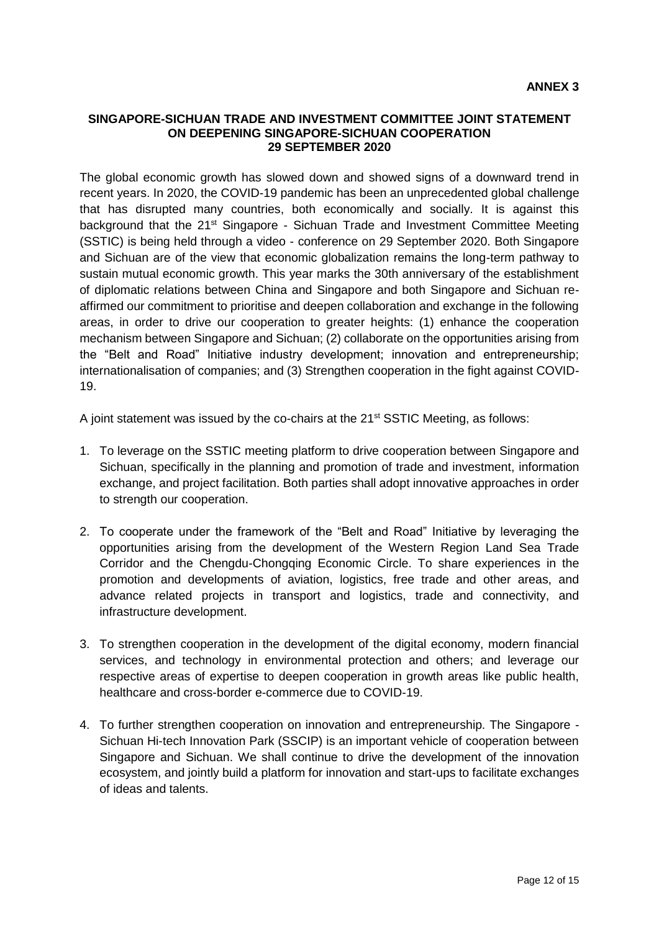#### **SINGAPORE-SICHUAN TRADE AND INVESTMENT COMMITTEE JOINT STATEMENT ON DEEPENING SINGAPORE-SICHUAN COOPERATION 29 SEPTEMBER 2020**

The global economic growth has slowed down and showed signs of a downward trend in recent years. In 2020, the COVID-19 pandemic has been an unprecedented global challenge that has disrupted many countries, both economically and socially. It is against this background that the 21<sup>st</sup> Singapore - Sichuan Trade and Investment Committee Meeting (SSTIC) is being held through a video - conference on 29 September 2020. Both Singapore and Sichuan are of the view that economic globalization remains the long-term pathway to sustain mutual economic growth. This year marks the 30th anniversary of the establishment of diplomatic relations between China and Singapore and both Singapore and Sichuan reaffirmed our commitment to prioritise and deepen collaboration and exchange in the following areas, in order to drive our cooperation to greater heights: (1) enhance the cooperation mechanism between Singapore and Sichuan; (2) collaborate on the opportunities arising from the "Belt and Road" Initiative industry development; innovation and entrepreneurship; internationalisation of companies; and (3) Strengthen cooperation in the fight against COVID-19.

A joint statement was issued by the co-chairs at the 21<sup>st</sup> SSTIC Meeting, as follows:

- 1. To leverage on the SSTIC meeting platform to drive cooperation between Singapore and Sichuan, specifically in the planning and promotion of trade and investment, information exchange, and project facilitation. Both parties shall adopt innovative approaches in order to strength our cooperation.
- 2. To cooperate under the framework of the "Belt and Road" Initiative by leveraging the opportunities arising from the development of the Western Region Land Sea Trade Corridor and the Chengdu-Chongqing Economic Circle. To share experiences in the promotion and developments of aviation, logistics, free trade and other areas, and advance related projects in transport and logistics, trade and connectivity, and infrastructure development.
- 3. To strengthen cooperation in the development of the digital economy, modern financial services, and technology in environmental protection and others; and leverage our respective areas of expertise to deepen cooperation in growth areas like public health, healthcare and cross-border e-commerce due to COVID-19.
- 4. To further strengthen cooperation on innovation and entrepreneurship. The Singapore Sichuan Hi-tech Innovation Park (SSCIP) is an important vehicle of cooperation between Singapore and Sichuan. We shall continue to drive the development of the innovation ecosystem, and jointly build a platform for innovation and start-ups to facilitate exchanges of ideas and talents.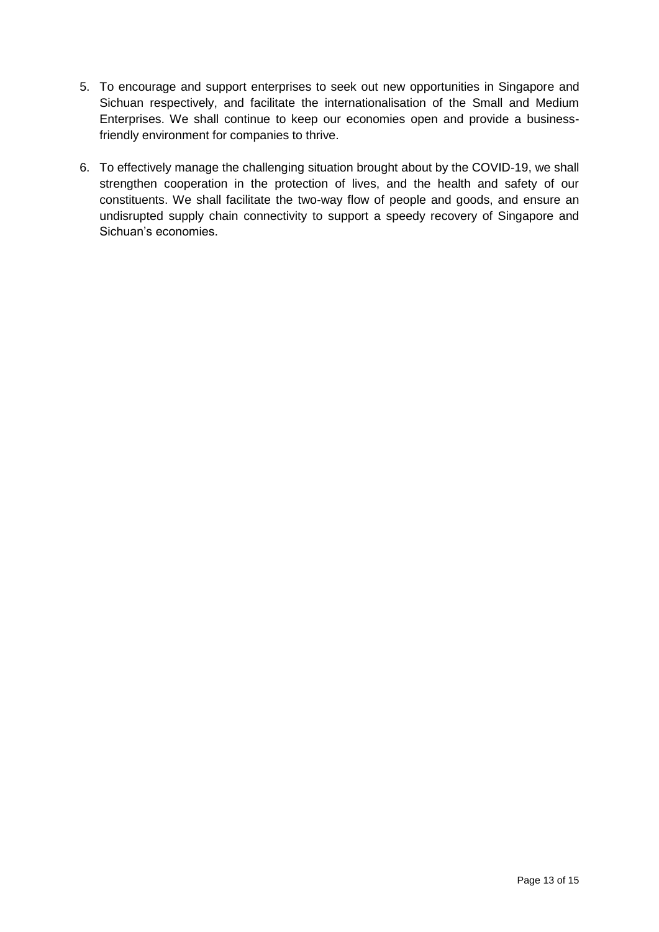- 5. To encourage and support enterprises to seek out new opportunities in Singapore and Sichuan respectively, and facilitate the internationalisation of the Small and Medium Enterprises. We shall continue to keep our economies open and provide a businessfriendly environment for companies to thrive.
- 6. To effectively manage the challenging situation brought about by the COVID-19, we shall strengthen cooperation in the protection of lives, and the health and safety of our constituents. We shall facilitate the two-way flow of people and goods, and ensure an undisrupted supply chain connectivity to support a speedy recovery of Singapore and Sichuan's economies.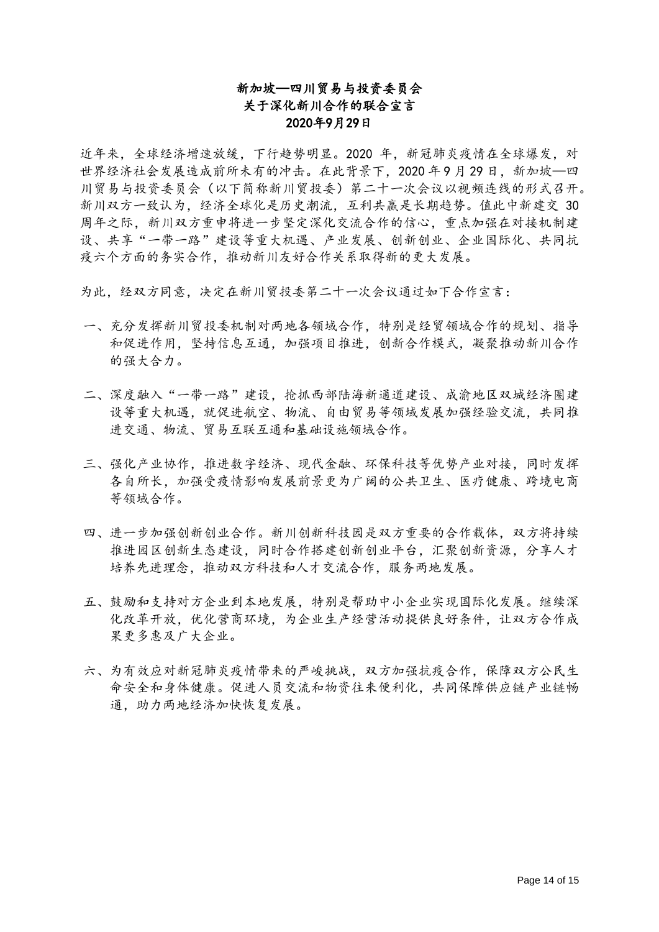# 新加坡—四川贸易与投资委员会 关于深化新川合作的联合宣言 2020年9月29日

近年来,全球经济增速放缓,下行趋势明显。2020 年,新冠肺炎疫情在全球爆发,对 世界经济社会发展造成前所未有的冲击。在此背景下,2020 年 9 月 29 日,新加坡—四 川贸易与投资委员会(以下简称新川贸投委)第二十一次会议以视频连线的形式召开。 新川双方一致认为,经济全球化是历史潮流,互利共赢是长期趋势。值此中新建交 30 周年之际,新川双方重申将进一步坚定深化交流合作的信心,重点加强在对接机制建 设、共享"一带一路"建设等重大机遇、产业发展、创新创业、企业国际化、共同抗 疫六个方面的务实合作,推动新川友好合作关系取得新的更大发展。

为此,经双方同意,决定在新川贸投委第二十一次会议通过如下合作宣言:

- 一、充分发挥新川贸投委机制对两地各领域合作,特别是经贸领域合作的规划、指导 和促进作用,坚持信息互通,加强项目推进,创新合作模式,凝聚推动新川合作 的强大合力。
- 二、深度融入"一带一路"建设,抢抓西部陆海新通道建设、成渝地区双城经济圈建 设等重大机遇,就促进航空、物流、自由贸易等领域发展加强经验交流,共同推 进交通、物流、贸易互联互通和基础设施领域合作。
- 三、强化产业协作,推进数字经济、现代金融、环保科技等优势产业对接,同时发挥 各自所长,加强受疫情影响发展前景更为广阔的公共卫生、医疗健康、跨境电商 等领域合作。
- 四、进一步加强创新创业合作。新川创新科技园是双方重要的合作载体,双方将持续 推进园区创新生态建设,同时合作搭建创新创业平台,汇聚创新资源,分享人才 培养先进理念,推动双方科技和人才交流合作,服务两地发展。
- 五、鼓励和支持对方企业到本地发展,特别是帮助中小企业实现国际化发展。继续深 化改革开放,优化营商环境,为企业生产经营活动提供良好条件,让双方合作成 果更多惠及广大企业。
- 六、为有效应对新冠肺炎疫情带来的严峻挑战,双方加强抗疫合作,保障双方公民生 命安全和身体健康。促进人员交流和物资往来便利化,共同保障供应链产业链畅 通,助力两地经济加快恢复发展。